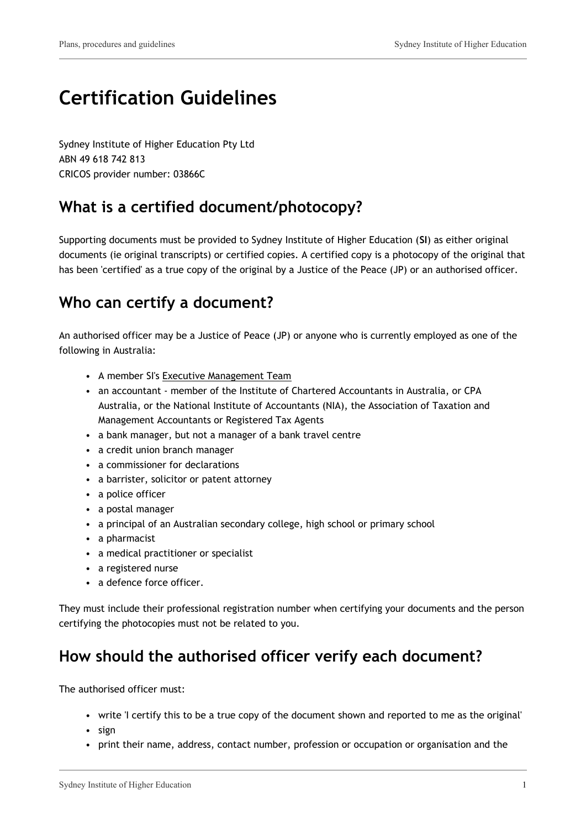# **Certification Guidelines**

Sydney Institute of Higher Education Pty Ltd ABN 49 618 742 813 CRICOS provider number: 03866C

## **What is a certified document/photocopy?**

Supporting documents must be provided to Sydney Institute of Higher Education (**SI**) as either original documents (ie original transcripts) or certified copies. A certified copy is a photocopy of the original that has been 'certified' as a true copy of the original by a Justice of the Peace (JP) or an authorised officer.

### **Who can certify a document?**

An authorised officer may be a Justice of Peace (JP) or anyone who is currently employed as one of the following in Australia:

- A member SI's Executive Management Team
- an accountant member of the Institute of Chartered Accountants in Australia, or CPA Australia, or the National Institute of Accountants (NIA), the Association of Taxation and Management Accountants or Registered Tax Agents
- a bank manager, but not a manager of a bank travel centre
- a credit union branch manager
- a commissioner for declarations
- a barrister, solicitor or patent attorney
- a police officer
- a postal manager
- a principal of an Australian secondary college, high school or primary school
- a pharmacist
- a medical practitioner or specialist
- a registered nurse
- a defence force officer.

They must include their professional registration number when certifying your documents and the person certifying the photocopies must not be related to you.

# **How should the authorised officer verify each document?**

The authorised officer must:

- write 'I certify this to be a true copy of the document shown and reported to me as the original'
- sign
- print their name, address, contact number, profession or occupation or organisation and the